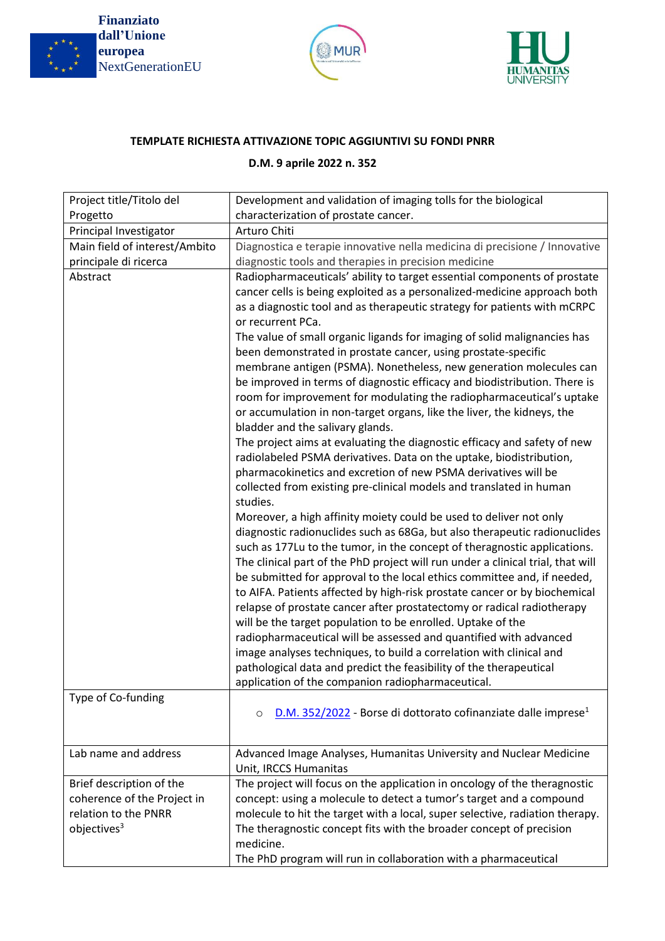

**Finanziato dall'Unione europea** NextGenerationEU





## **TEMPLATE RICHIESTA ATTIVAZIONE TOPIC AGGIUNTIVI SU FONDI PNRR**

## **D.M. 9 aprile 2022 n. 352**

| Project title/Titolo del                                | Development and validation of imaging tolls for the biological                                                                                                                                                                                                                                                                                                                                                                                                                                                                                                                                                                                                                                                                                                                                                                                                                                                                                                                                                                                                                                                                                                                                                                                                                                                                                                                                                                                                                                                                                                                                                                                                                                                                                                                                                                                                                                                                                                                                                                   |
|---------------------------------------------------------|----------------------------------------------------------------------------------------------------------------------------------------------------------------------------------------------------------------------------------------------------------------------------------------------------------------------------------------------------------------------------------------------------------------------------------------------------------------------------------------------------------------------------------------------------------------------------------------------------------------------------------------------------------------------------------------------------------------------------------------------------------------------------------------------------------------------------------------------------------------------------------------------------------------------------------------------------------------------------------------------------------------------------------------------------------------------------------------------------------------------------------------------------------------------------------------------------------------------------------------------------------------------------------------------------------------------------------------------------------------------------------------------------------------------------------------------------------------------------------------------------------------------------------------------------------------------------------------------------------------------------------------------------------------------------------------------------------------------------------------------------------------------------------------------------------------------------------------------------------------------------------------------------------------------------------------------------------------------------------------------------------------------------------|
| Progetto                                                | characterization of prostate cancer.<br>Arturo Chiti                                                                                                                                                                                                                                                                                                                                                                                                                                                                                                                                                                                                                                                                                                                                                                                                                                                                                                                                                                                                                                                                                                                                                                                                                                                                                                                                                                                                                                                                                                                                                                                                                                                                                                                                                                                                                                                                                                                                                                             |
| Principal Investigator<br>Main field of interest/Ambito | Diagnostica e terapie innovative nella medicina di precisione / Innovative                                                                                                                                                                                                                                                                                                                                                                                                                                                                                                                                                                                                                                                                                                                                                                                                                                                                                                                                                                                                                                                                                                                                                                                                                                                                                                                                                                                                                                                                                                                                                                                                                                                                                                                                                                                                                                                                                                                                                       |
| principale di ricerca                                   | diagnostic tools and therapies in precision medicine                                                                                                                                                                                                                                                                                                                                                                                                                                                                                                                                                                                                                                                                                                                                                                                                                                                                                                                                                                                                                                                                                                                                                                                                                                                                                                                                                                                                                                                                                                                                                                                                                                                                                                                                                                                                                                                                                                                                                                             |
|                                                         |                                                                                                                                                                                                                                                                                                                                                                                                                                                                                                                                                                                                                                                                                                                                                                                                                                                                                                                                                                                                                                                                                                                                                                                                                                                                                                                                                                                                                                                                                                                                                                                                                                                                                                                                                                                                                                                                                                                                                                                                                                  |
| Abstract<br>Type of Co-funding                          | Radiopharmaceuticals' ability to target essential components of prostate<br>cancer cells is being exploited as a personalized-medicine approach both<br>as a diagnostic tool and as therapeutic strategy for patients with mCRPC<br>or recurrent PCa.<br>The value of small organic ligands for imaging of solid malignancies has<br>been demonstrated in prostate cancer, using prostate-specific<br>membrane antigen (PSMA). Nonetheless, new generation molecules can<br>be improved in terms of diagnostic efficacy and biodistribution. There is<br>room for improvement for modulating the radiopharmaceutical's uptake<br>or accumulation in non-target organs, like the liver, the kidneys, the<br>bladder and the salivary glands.<br>The project aims at evaluating the diagnostic efficacy and safety of new<br>radiolabeled PSMA derivatives. Data on the uptake, biodistribution,<br>pharmacokinetics and excretion of new PSMA derivatives will be<br>collected from existing pre-clinical models and translated in human<br>studies.<br>Moreover, a high affinity moiety could be used to deliver not only<br>diagnostic radionuclides such as 68Ga, but also therapeutic radionuclides<br>such as 177Lu to the tumor, in the concept of theragnostic applications.<br>The clinical part of the PhD project will run under a clinical trial, that will<br>be submitted for approval to the local ethics committee and, if needed,<br>to AIFA. Patients affected by high-risk prostate cancer or by biochemical<br>relapse of prostate cancer after prostatectomy or radical radiotherapy<br>will be the target population to be enrolled. Uptake of the<br>radiopharmaceutical will be assessed and quantified with advanced<br>image analyses techniques, to build a correlation with clinical and<br>pathological data and predict the feasibility of the therapeutical<br>application of the companion radiopharmaceutical.<br>D.M. 352/2022 - Borse di dottorato cofinanziate dalle imprese <sup>1</sup><br>O |
|                                                         |                                                                                                                                                                                                                                                                                                                                                                                                                                                                                                                                                                                                                                                                                                                                                                                                                                                                                                                                                                                                                                                                                                                                                                                                                                                                                                                                                                                                                                                                                                                                                                                                                                                                                                                                                                                                                                                                                                                                                                                                                                  |
| Lab name and address                                    | Advanced Image Analyses, Humanitas University and Nuclear Medicine<br>Unit, IRCCS Humanitas                                                                                                                                                                                                                                                                                                                                                                                                                                                                                                                                                                                                                                                                                                                                                                                                                                                                                                                                                                                                                                                                                                                                                                                                                                                                                                                                                                                                                                                                                                                                                                                                                                                                                                                                                                                                                                                                                                                                      |
| Brief description of the                                | The project will focus on the application in oncology of the theragnostic                                                                                                                                                                                                                                                                                                                                                                                                                                                                                                                                                                                                                                                                                                                                                                                                                                                                                                                                                                                                                                                                                                                                                                                                                                                                                                                                                                                                                                                                                                                                                                                                                                                                                                                                                                                                                                                                                                                                                        |
| coherence of the Project in                             | concept: using a molecule to detect a tumor's target and a compound                                                                                                                                                                                                                                                                                                                                                                                                                                                                                                                                                                                                                                                                                                                                                                                                                                                                                                                                                                                                                                                                                                                                                                                                                                                                                                                                                                                                                                                                                                                                                                                                                                                                                                                                                                                                                                                                                                                                                              |
| relation to the PNRR                                    | molecule to hit the target with a local, super selective, radiation therapy.                                                                                                                                                                                                                                                                                                                                                                                                                                                                                                                                                                                                                                                                                                                                                                                                                                                                                                                                                                                                                                                                                                                                                                                                                                                                                                                                                                                                                                                                                                                                                                                                                                                                                                                                                                                                                                                                                                                                                     |
| objectives <sup>3</sup>                                 | The theragnostic concept fits with the broader concept of precision<br>medicine.                                                                                                                                                                                                                                                                                                                                                                                                                                                                                                                                                                                                                                                                                                                                                                                                                                                                                                                                                                                                                                                                                                                                                                                                                                                                                                                                                                                                                                                                                                                                                                                                                                                                                                                                                                                                                                                                                                                                                 |
|                                                         | The PhD program will run in collaboration with a pharmaceutical                                                                                                                                                                                                                                                                                                                                                                                                                                                                                                                                                                                                                                                                                                                                                                                                                                                                                                                                                                                                                                                                                                                                                                                                                                                                                                                                                                                                                                                                                                                                                                                                                                                                                                                                                                                                                                                                                                                                                                  |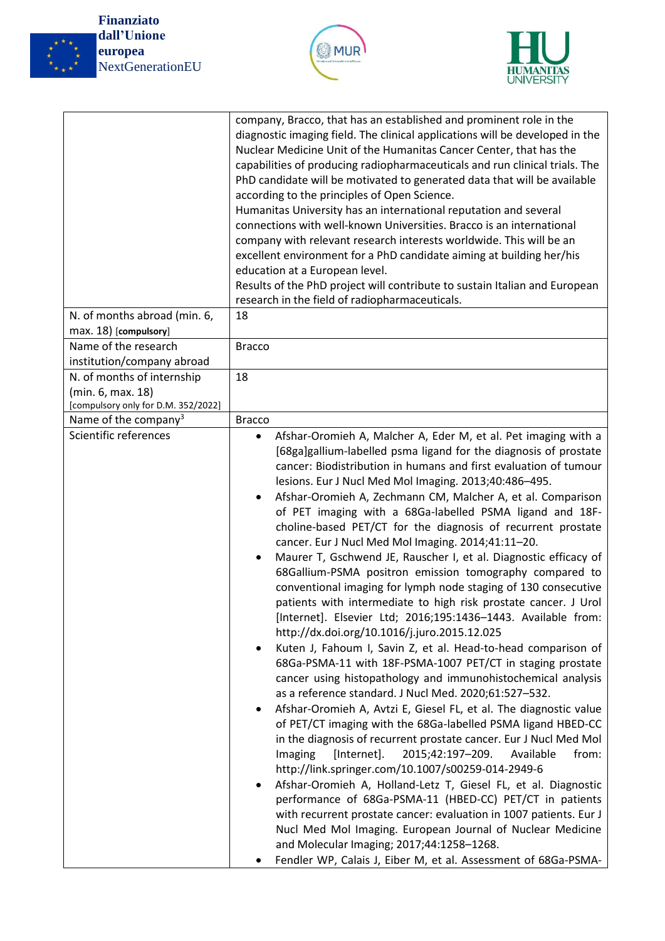

**Finanziato dall'Unione europea** NextGenerationEU





|                                                                         | company, Bracco, that has an established and prominent role in the<br>diagnostic imaging field. The clinical applications will be developed in the<br>Nuclear Medicine Unit of the Humanitas Cancer Center, that has the<br>capabilities of producing radiopharmaceuticals and run clinical trials. The<br>PhD candidate will be motivated to generated data that will be available<br>according to the principles of Open Science.<br>Humanitas University has an international reputation and several<br>connections with well-known Universities. Bracco is an international<br>company with relevant research interests worldwide. This will be an<br>excellent environment for a PhD candidate aiming at building her/his<br>education at a European level.<br>Results of the PhD project will contribute to sustain Italian and European<br>research in the field of radiopharmaceuticals.                                                                                                                                                                                                                                                                                                                                                                                                                                                                                                                                                                                                                                                                                                                                                                                                                                                                                                                 |
|-------------------------------------------------------------------------|------------------------------------------------------------------------------------------------------------------------------------------------------------------------------------------------------------------------------------------------------------------------------------------------------------------------------------------------------------------------------------------------------------------------------------------------------------------------------------------------------------------------------------------------------------------------------------------------------------------------------------------------------------------------------------------------------------------------------------------------------------------------------------------------------------------------------------------------------------------------------------------------------------------------------------------------------------------------------------------------------------------------------------------------------------------------------------------------------------------------------------------------------------------------------------------------------------------------------------------------------------------------------------------------------------------------------------------------------------------------------------------------------------------------------------------------------------------------------------------------------------------------------------------------------------------------------------------------------------------------------------------------------------------------------------------------------------------------------------------------------------------------------------------------------------------|
| N. of months abroad (min. 6,                                            | 18                                                                                                                                                                                                                                                                                                                                                                                                                                                                                                                                                                                                                                                                                                                                                                                                                                                                                                                                                                                                                                                                                                                                                                                                                                                                                                                                                                                                                                                                                                                                                                                                                                                                                                                                                                                                               |
| max. 18) [compulsory]                                                   |                                                                                                                                                                                                                                                                                                                                                                                                                                                                                                                                                                                                                                                                                                                                                                                                                                                                                                                                                                                                                                                                                                                                                                                                                                                                                                                                                                                                                                                                                                                                                                                                                                                                                                                                                                                                                  |
| Name of the research                                                    | <b>Bracco</b>                                                                                                                                                                                                                                                                                                                                                                                                                                                                                                                                                                                                                                                                                                                                                                                                                                                                                                                                                                                                                                                                                                                                                                                                                                                                                                                                                                                                                                                                                                                                                                                                                                                                                                                                                                                                    |
| institution/company abroad                                              |                                                                                                                                                                                                                                                                                                                                                                                                                                                                                                                                                                                                                                                                                                                                                                                                                                                                                                                                                                                                                                                                                                                                                                                                                                                                                                                                                                                                                                                                                                                                                                                                                                                                                                                                                                                                                  |
| N. of months of internship                                              | 18                                                                                                                                                                                                                                                                                                                                                                                                                                                                                                                                                                                                                                                                                                                                                                                                                                                                                                                                                                                                                                                                                                                                                                                                                                                                                                                                                                                                                                                                                                                                                                                                                                                                                                                                                                                                               |
| (min. 6, max. 18)                                                       |                                                                                                                                                                                                                                                                                                                                                                                                                                                                                                                                                                                                                                                                                                                                                                                                                                                                                                                                                                                                                                                                                                                                                                                                                                                                                                                                                                                                                                                                                                                                                                                                                                                                                                                                                                                                                  |
| [compulsory only for D.M. 352/2022]<br>Name of the company <sup>3</sup> | <b>Bracco</b>                                                                                                                                                                                                                                                                                                                                                                                                                                                                                                                                                                                                                                                                                                                                                                                                                                                                                                                                                                                                                                                                                                                                                                                                                                                                                                                                                                                                                                                                                                                                                                                                                                                                                                                                                                                                    |
| Scientific references                                                   | Afshar-Oromieh A, Malcher A, Eder M, et al. Pet imaging with a<br>$\bullet$                                                                                                                                                                                                                                                                                                                                                                                                                                                                                                                                                                                                                                                                                                                                                                                                                                                                                                                                                                                                                                                                                                                                                                                                                                                                                                                                                                                                                                                                                                                                                                                                                                                                                                                                      |
|                                                                         | [68ga]gallium-labelled psma ligand for the diagnosis of prostate<br>cancer: Biodistribution in humans and first evaluation of tumour<br>lesions. Eur J Nucl Med Mol Imaging. 2013;40:486-495.<br>Afshar-Oromieh A, Zechmann CM, Malcher A, et al. Comparison<br>of PET imaging with a 68Ga-labelled PSMA ligand and 18F-<br>choline-based PET/CT for the diagnosis of recurrent prostate<br>cancer. Eur J Nucl Med Mol Imaging. 2014;41:11-20.<br>Maurer T, Gschwend JE, Rauscher I, et al. Diagnostic efficacy of<br>68Gallium-PSMA positron emission tomography compared to<br>conventional imaging for lymph node staging of 130 consecutive<br>patients with intermediate to high risk prostate cancer. J Urol<br>[Internet]. Elsevier Ltd; 2016;195:1436-1443. Available from:<br>http://dx.doi.org/10.1016/j.juro.2015.12.025<br>Kuten J, Fahoum I, Savin Z, et al. Head-to-head comparison of<br>68Ga-PSMA-11 with 18F-PSMA-1007 PET/CT in staging prostate<br>cancer using histopathology and immunohistochemical analysis<br>as a reference standard. J Nucl Med. 2020;61:527-532.<br>Afshar-Oromieh A, Avtzi E, Giesel FL, et al. The diagnostic value<br>of PET/CT imaging with the 68Ga-labelled PSMA ligand HBED-CC<br>in the diagnosis of recurrent prostate cancer. Eur J Nucl Med Mol<br>2015;42:197-209.<br>Imaging<br>[Internet].<br>Available<br>from:<br>http://link.springer.com/10.1007/s00259-014-2949-6<br>Afshar-Oromieh A, Holland-Letz T, Giesel FL, et al. Diagnostic<br>performance of 68Ga-PSMA-11 (HBED-CC) PET/CT in patients<br>with recurrent prostate cancer: evaluation in 1007 patients. Eur J<br>Nucl Med Mol Imaging. European Journal of Nuclear Medicine<br>and Molecular Imaging; 2017;44:1258-1268.<br>Fendler WP, Calais J, Eiber M, et al. Assessment of 68Ga-PSMA- |